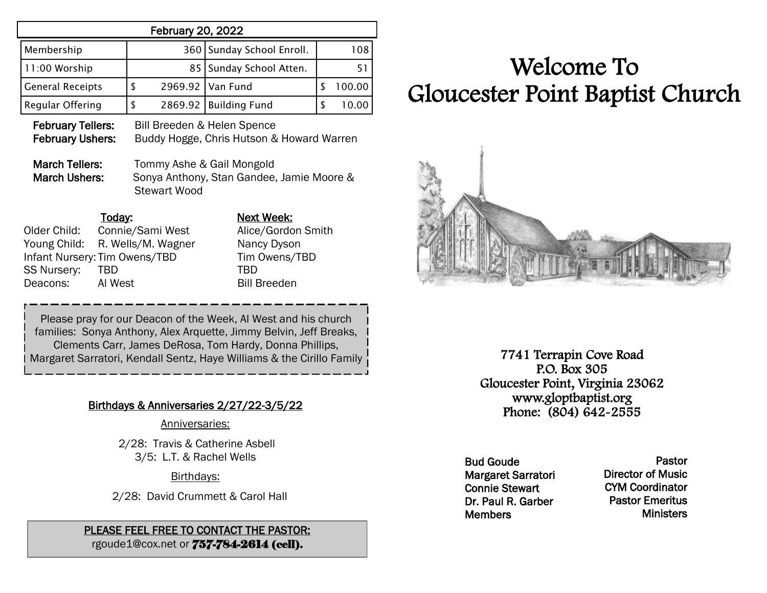| <b>February 20, 2022</b>                                                                      |                                        |                                                                                                                                                    |              |  |  |  |  |
|-----------------------------------------------------------------------------------------------|----------------------------------------|----------------------------------------------------------------------------------------------------------------------------------------------------|--------------|--|--|--|--|
| Membership                                                                                    | 360                                    | Sunday School Enroll.                                                                                                                              | 108          |  |  |  |  |
| 11:00 Worship                                                                                 | 85                                     | Sunday School Atten.                                                                                                                               | 51           |  |  |  |  |
| <b>General Receipts</b>                                                                       | \$<br>2969.92                          | Van Fund                                                                                                                                           | \$<br>100.00 |  |  |  |  |
| Regular Offering                                                                              | \$<br>2869.92                          | <b>Building Fund</b>                                                                                                                               | \$<br>10.00  |  |  |  |  |
| <b>February Tellers:</b><br><b>February Ushers:</b><br>March Tellers:<br><b>March Ushers:</b> | <b>Stewart Wood</b>                    | Bill Breeden & Helen Spence<br>Buddy Hogge, Chris Hutson & Howard Warren<br>Tommy Ashe & Gail Mongold<br>Sonya Anthony, Stan Gandee, Jamie Moore & |              |  |  |  |  |
| <u>Today:</u><br>Older Child:<br>Young Child:                                                 | Connie/Sami West<br>R. Wells/M. Wagner | <b>Next Week:</b><br>Alice/Gordon Smith<br>Nancy Dyson                                                                                             |              |  |  |  |  |

### Infant Nursery: Tim Owens/TBD Tim Owens/TBD SS Nursery: TBD TBD TBD Deacons: Al West Bill Breeden

Please pray for our Deacon of the Week, Al West and his church families: Sonya Anthony, Alex Arquette, Jimmy Belvin, Jeff Breaks, Clements Carr, James DeRosa, Tom Hardy, Donna Phillips, Margaret Sarratori, Kendall Sentz, Haye Williams & the Cirillo Family

### Birthdays & Anniversaries 2/27/22-3/5/22

Anniversaries:

2/28: Travis & Catherine Asbell 3/5: L.T. & Rachel Wells

Birthdays:

2/28: David Crummett & Carol Hall

#### PLEASE FEEL FREE TO CONTACT THE PASTOR: rgoude1@cox.net or 757-784-2614 (cell).

# Welcome To Gloucester Point Baptist Church



7741 Terrapin Cove Road P.O. Box 305 Gloucester Point, Virginia 23062 www.gloptbaptist.org Phone: (804) 642-2555

Bud Goude Margaret Sarratori Connie Stewart Dr. Paul R. Garber **Members** 

Pastor Director of Music CYM Coordinator Pastor Emeritus **Ministers**